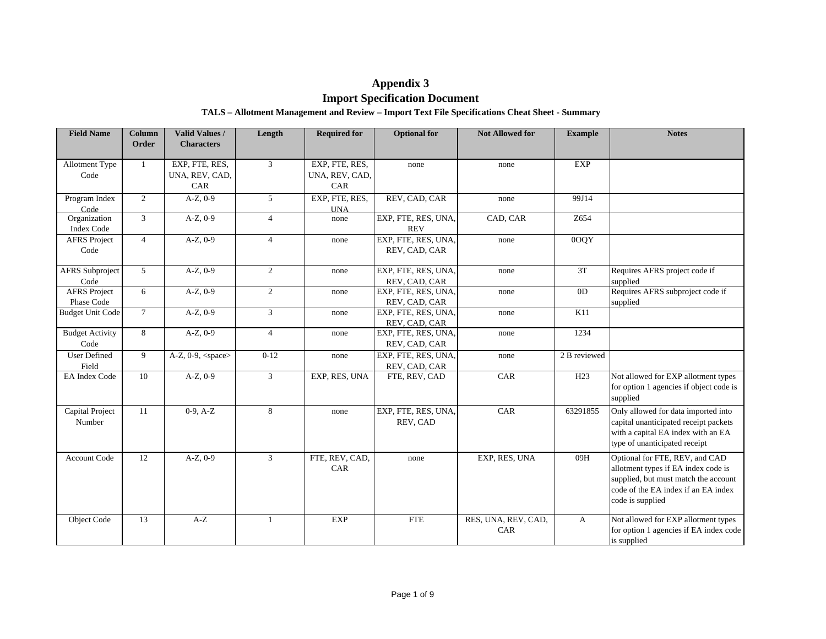# **Appendix 3**

# **Import Specification Document**

# **TALS – Allotment Management and Review – Import Text File Specifications Cheat Sheet - Summary**

| <b>Field Name</b>                 | <b>Column</b>  | Valid Values /                          | Length         | <b>Required for</b>                     | <b>Optional</b> for                  | <b>Not Allowed for</b>     | <b>Example</b>  | <b>Notes</b>                                                                                                                                                             |
|-----------------------------------|----------------|-----------------------------------------|----------------|-----------------------------------------|--------------------------------------|----------------------------|-----------------|--------------------------------------------------------------------------------------------------------------------------------------------------------------------------|
|                                   | Order          | <b>Characters</b>                       |                |                                         |                                      |                            |                 |                                                                                                                                                                          |
| Allotment Type<br>Code            | $\mathbf{1}$   | EXP, FTE, RES,<br>UNA, REV, CAD,<br>CAR | $\mathfrak{Z}$ | EXP, FTE, RES,<br>UNA, REV, CAD,<br>CAR | none                                 | none                       | <b>EXP</b>      |                                                                                                                                                                          |
| Program Index<br>Code             | $\overline{2}$ | $A-Z$ , $0-9$                           | 5              | EXP, FTE, RES,<br><b>UNA</b>            | REV, CAD, CAR                        | none                       | 99J14           |                                                                                                                                                                          |
| Organization<br><b>Index Code</b> | 3              | $A-Z$ , $0-9$                           | $\overline{4}$ | none                                    | EXP, FTE, RES, UNA,<br><b>REV</b>    | CAD, CAR                   | Z654            |                                                                                                                                                                          |
| <b>AFRS</b> Project<br>Code       | $\overline{4}$ | $A-Z$ , 0-9                             | $\overline{4}$ | none                                    | EXP, FTE, RES, UNA,<br>REV, CAD, CAR | none                       | 0OQY            |                                                                                                                                                                          |
| <b>AFRS</b> Subproject<br>Code    | $5^{\circ}$    | $A-Z$ , 0-9                             | $\overline{2}$ | none                                    | EXP, FTE, RES, UNA,<br>REV, CAD, CAR | none                       | 3T              | Requires AFRS project code if<br>supplied                                                                                                                                |
| <b>AFRS</b> Project<br>Phase Code | 6              | $A-Z, 0-9$                              | $\overline{2}$ | none                                    | EXP, FTE, RES, UNA,<br>REV, CAD, CAR | none                       | 0 <sub>D</sub>  | Requires AFRS subproject code if<br>supplied                                                                                                                             |
| <b>Budget Unit Code</b>           | $\overline{7}$ | $A-Z$ , 0-9                             | $\overline{3}$ | none                                    | EXP, FTE, RES, UNA,<br>REV, CAD, CAR | none                       | K11             |                                                                                                                                                                          |
| <b>Budget Activity</b><br>Code    | 8              | $A-Z$ , 0-9                             | $\overline{4}$ | none                                    | EXP, FTE, RES, UNA,<br>REV, CAD, CAR | none                       | 1234            |                                                                                                                                                                          |
| <b>User Defined</b><br>Field      | 9              | A-Z, $0-9$ , $<$ space $>$              | $0 - 12$       | none                                    | EXP, FTE, RES, UNA,<br>REV, CAD, CAR | none                       | 2 B reviewed    |                                                                                                                                                                          |
| EA Index Code                     | 10             | $A-Z$ , 0-9                             | $\overline{3}$ | EXP, RES, UNA                           | FTE, REV, CAD                        | CAR                        | H <sub>23</sub> | Not allowed for EXP allotment types<br>for option 1 agencies if object code is<br>supplied                                                                               |
| Capital Project<br>Number         | 11             | $0-9, A-Z$                              | 8              | none                                    | EXP, FTE, RES, UNA,<br>REV, CAD      | CAR                        | 63291855        | Only allowed for data imported into<br>capital unanticipated receipt packets<br>with a capital EA index with an EA<br>type of unanticipated receipt                      |
| Account Code                      | 12             | $A-Z$ , 0-9                             | $\mathfrak{Z}$ | FTE, REV, CAD,<br>CAR                   | none                                 | EXP, RES, UNA              | 09H             | Optional for FTE, REV, and CAD<br>allotment types if EA index code is<br>supplied, but must match the account<br>code of the EA index if an EA index<br>code is supplied |
| <b>Object Code</b>                | 13             | $A-Z$                                   | $\mathbf{1}$   | <b>EXP</b>                              | <b>FTE</b>                           | RES, UNA, REV, CAD,<br>CAR | A               | Not allowed for EXP allotment types<br>for option 1 agencies if EA index code<br>is supplied                                                                             |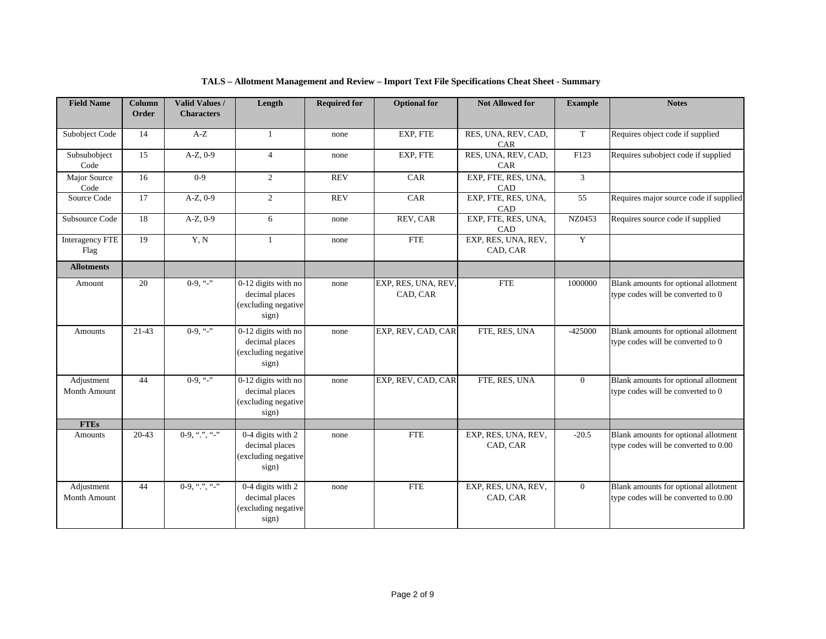| <b>Field Name</b>          | Column    | Valid Values /    | Length                                                                | <b>Required for</b> | <b>Optional</b> for             | <b>Not Allowed for</b>            | <b>Example</b> | <b>Notes</b>                                                                 |
|----------------------------|-----------|-------------------|-----------------------------------------------------------------------|---------------------|---------------------------------|-----------------------------------|----------------|------------------------------------------------------------------------------|
|                            | Order     | <b>Characters</b> |                                                                       |                     |                                 |                                   |                |                                                                              |
| Subobject Code             | 14        | $A-Z$             | 1                                                                     | none                | EXP, FTE                        | RES, UNA, REV, CAD,<br><b>CAR</b> | $\mathbf T$    | Requires object code if supplied                                             |
| Subsubobject<br>Code       | 15        | $A-Z$ , $0-9$     | $\overline{4}$                                                        | none                | EXP, FTE                        | RES, UNA, REV, CAD,<br>CAR        | F123           | Requires subobject code if supplied                                          |
| Major Source<br>Code       | 16        | $0 - 9$           | 2                                                                     | <b>REV</b>          | CAR                             | EXP, FTE, RES, UNA,<br>CAD        | $\mathfrak{Z}$ |                                                                              |
| Source Code                | 17        | $A-Z$ , $0-9$     | 2                                                                     | <b>REV</b>          | CAR                             | EXP, FTE, RES, UNA,<br>CAD        | 55             | Requires major source code if supplied                                       |
| Subsource Code             | 18        | A-Z, 0-9          | 6                                                                     | none                | REV, CAR                        | EXP, FTE, RES, UNA,<br>CAD        | NZ0453         | Requires source code if supplied                                             |
| Interagency FTE<br>Flag    | 19        | Y, N              | $\mathbf{1}$                                                          | none                | <b>FTE</b>                      | EXP, RES, UNA, REV,<br>CAD, CAR   | Y              |                                                                              |
| <b>Allotments</b>          |           |                   |                                                                       |                     |                                 |                                   |                |                                                                              |
| Amount                     | 20        | $0-9, "-"$        | 0-12 digits with no<br>decimal places<br>(excluding negative<br>sign) | none                | EXP, RES, UNA, REV,<br>CAD, CAR | <b>FTE</b>                        | 1000000        | Blank amounts for optional allotment<br>type codes will be converted to 0    |
| Amounts                    | $21 - 43$ | $0-9,$ "-"        | 0-12 digits with no<br>decimal places<br>(excluding negative<br>sign) | none                | EXP, REV, CAD, CAR              | FTE, RES, UNA                     | $-425000$      | Blank amounts for optional allotment<br>type codes will be converted to 0    |
| Adjustment<br>Month Amount | 44        | $0-9, "-"$        | 0-12 digits with no<br>decimal places<br>(excluding negative<br>sign) | none                | EXP, REV, CAD, CAR              | FTE, RES, UNA                     | $\overline{0}$ | Blank amounts for optional allotment<br>type codes will be converted to 0    |
| <b>FTEs</b>                |           |                   |                                                                       |                     |                                 |                                   |                |                                                                              |
| Amounts                    | $20 - 43$ | $0-9,$ ".", "."   | 0-4 digits with 2<br>decimal places<br>(excluding negative<br>sign)   | none                | <b>FTE</b>                      | EXP, RES, UNA, REV,<br>CAD, CAR   | $-20.5$        | Blank amounts for optional allotment<br>type codes will be converted to 0.00 |
| Adjustment<br>Month Amount | 44        | $0-9,$ ".", "-"   | 0-4 digits with 2<br>decimal places<br>(excluding negative<br>sign)   | none                | <b>FTE</b>                      | EXP, RES, UNA, REV,<br>CAD, CAR   | $\overline{0}$ | Blank amounts for optional allotment<br>type codes will be converted to 0.00 |

# **TALS – Allotment Management and Review – Import Text File Specifications Cheat Sheet - Summary**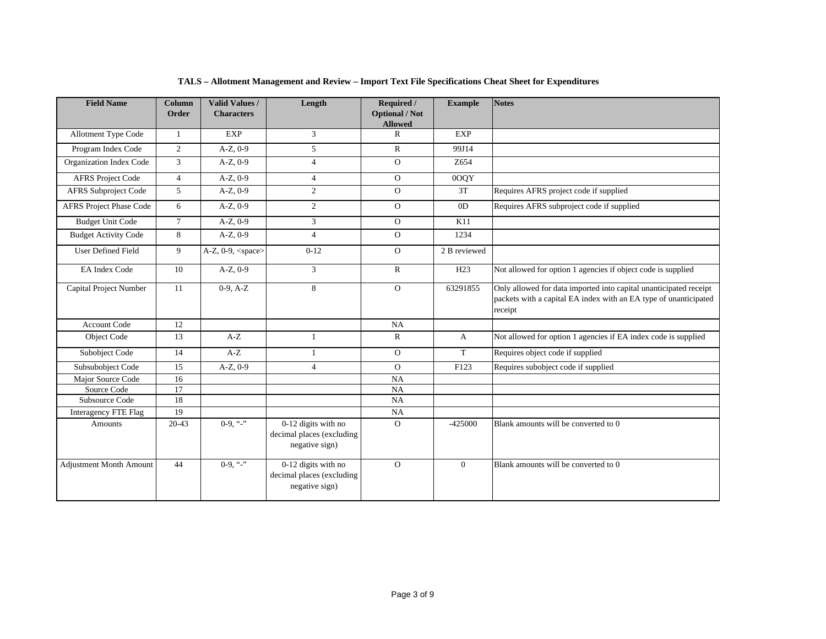| <b>Field Name</b>              | <b>Column</b>  | <b>Valid Values /</b>     | Length                                                             | Required /                     | <b>Example</b> | <b>Notes</b>                                                                                                                                     |
|--------------------------------|----------------|---------------------------|--------------------------------------------------------------------|--------------------------------|----------------|--------------------------------------------------------------------------------------------------------------------------------------------------|
|                                | Order          | <b>Characters</b>         |                                                                    | <b>Optional / Not</b>          |                |                                                                                                                                                  |
| <b>Allotment Type Code</b>     | $\overline{1}$ | <b>EXP</b>                | 3                                                                  | <b>Allowed</b><br>$\mathsf{R}$ | <b>EXP</b>     |                                                                                                                                                  |
| Program Index Code             | $\overline{2}$ | $A-Z, 0-9$                | 5                                                                  | $\mathbb{R}$                   | 99J14          |                                                                                                                                                  |
| Organization Index Code        | 3              | $A-Z, 0-9$                | $\overline{4}$                                                     | $\mathbf{O}$                   | Z654           |                                                                                                                                                  |
| <b>AFRS Project Code</b>       | $\overline{4}$ | $A-Z, 0-9$                | $\overline{4}$                                                     | $\mathbf{O}$                   | 0OOY           |                                                                                                                                                  |
| <b>AFRS</b> Subproject Code    | $\mathfrak{F}$ | $A-Z, 0-9$                | $\overline{2}$                                                     | $\Omega$                       | 3T             | Requires AFRS project code if supplied                                                                                                           |
|                                | 6              | $A-Z, 0-9$                | 2                                                                  | $\mathbf{O}$                   | 0 <sub>D</sub> |                                                                                                                                                  |
| AFRS Project Phase Code        |                |                           |                                                                    |                                |                | Requires AFRS subproject code if supplied                                                                                                        |
| <b>Budget Unit Code</b>        | $\tau$         | $A-Z, 0-9$                | 3                                                                  | $\mathbf{O}$                   | K11            |                                                                                                                                                  |
| <b>Budget Activity Code</b>    | 8              | $A-Z$ , $0-9$             | $\overline{4}$                                                     | $\mathbf{O}$                   | 1234           |                                                                                                                                                  |
| <b>User Defined Field</b>      | 9              | A-Z, 0-9, <space></space> | $0-12$                                                             | $\Omega$                       | 2 B reviewed   |                                                                                                                                                  |
| <b>EA Index Code</b>           | 10             | $A-Z$ , $0-9$             | 3                                                                  | $\mathbb{R}$                   | H23            | Not allowed for option 1 agencies if object code is supplied                                                                                     |
| Capital Project Number         | 11             | $0-9, A-Z$                | 8                                                                  | $\Omega$                       | 63291855       | Only allowed for data imported into capital unanticipated receipt<br>packets with a capital EA index with an EA type of unanticipated<br>receipt |
| <b>Account Code</b>            | 12             |                           |                                                                    | <b>NA</b>                      |                |                                                                                                                                                  |
| Object Code                    | 13             | $A-Z$                     | $\mathbf{1}$                                                       | $\mathbb{R}$                   | $\mathbf{A}$   | Not allowed for option 1 agencies if EA index code is supplied                                                                                   |
| Subobject Code                 | 14             | $A-Z$                     | 1                                                                  | $\mathbf{O}$                   | T              | Requires object code if supplied                                                                                                                 |
| Subsubobject Code              | 15             | $A-Z$ , $0-9$             | $\overline{4}$                                                     | $\Omega$                       | F123           | Requires subobject code if supplied                                                                                                              |
| Major Source Code              | 16             |                           |                                                                    | <b>NA</b>                      |                |                                                                                                                                                  |
| Source Code                    | 17             |                           |                                                                    | NA                             |                |                                                                                                                                                  |
| Subsource Code                 | 18             |                           |                                                                    | <b>NA</b>                      |                |                                                                                                                                                  |
| Interagency FTE Flag           | 19             |                           |                                                                    | <b>NA</b>                      |                |                                                                                                                                                  |
| Amounts                        | $20-43$        | $0-9,$ "-"                | 0-12 digits with no<br>decimal places (excluding<br>negative sign) | $\Omega$                       | $-425000$      | Blank amounts will be converted to 0                                                                                                             |
| <b>Adjustment Month Amount</b> | 44             | $0-9, "-"$                | 0-12 digits with no<br>decimal places (excluding<br>negative sign) | $\Omega$                       | $\Omega$       | Blank amounts will be converted to 0                                                                                                             |

# **TALS – Allotment Management and Review – Import Text File Specifications Cheat Sheet for Expenditures**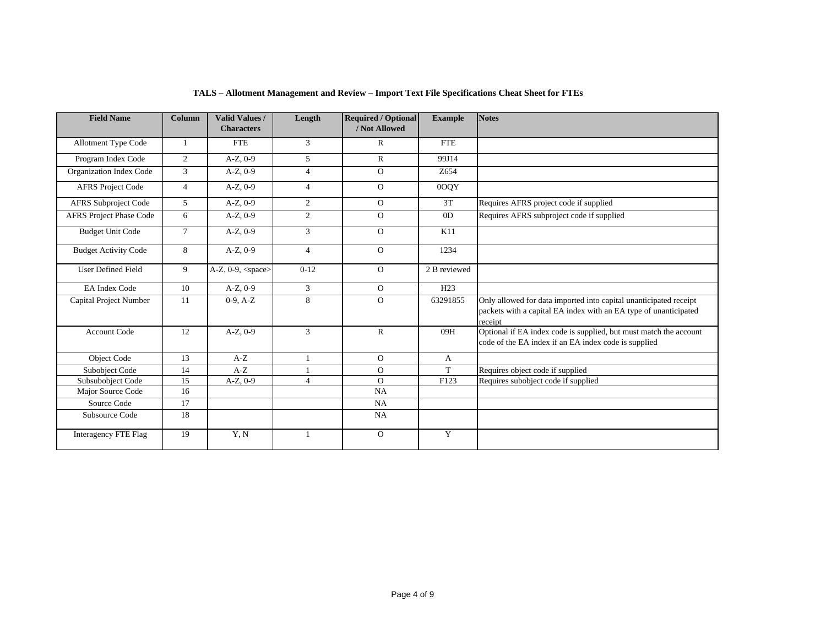| <b>Field Name</b>              | Column         | <b>Valid Values /</b><br><b>Characters</b> | Length         | <b>Required / Optional</b><br>/ Not Allowed | <b>Example</b>  | <b>Notes</b>                                                                                                                                     |
|--------------------------------|----------------|--------------------------------------------|----------------|---------------------------------------------|-----------------|--------------------------------------------------------------------------------------------------------------------------------------------------|
| Allotment Type Code            |                | <b>FTE</b>                                 | 3              | $\mathbb{R}$                                | <b>FTE</b>      |                                                                                                                                                  |
| Program Index Code             | $\mathbf{2}$   | $A-Z, 0-9$                                 | 5              | $\mathbb{R}$                                | 99J14           |                                                                                                                                                  |
| Organization Index Code        | 3              | $A-Z, 0-9$                                 | $\overline{4}$ | $\Omega$                                    | Z654            |                                                                                                                                                  |
| <b>AFRS Project Code</b>       | $\overline{4}$ | $A-Z$ , $0-9$                              | $\overline{4}$ | $\Omega$                                    | 0OQY            |                                                                                                                                                  |
| <b>AFRS Subproject Code</b>    | 5              | $A-Z, 0-9$                                 | 2              | $\overline{O}$                              | 3T              | Requires AFRS project code if supplied                                                                                                           |
| <b>AFRS Project Phase Code</b> | 6              | $A-Z$ , $0-9$                              | 2              | $\Omega$                                    | OD              | Requires AFRS subproject code if supplied                                                                                                        |
| <b>Budget Unit Code</b>        | $\overline{7}$ | $A-Z, 0-9$                                 | 3              | $\Omega$                                    | K11             |                                                                                                                                                  |
| <b>Budget Activity Code</b>    | 8              | $A-Z$ , $0-9$                              | $\overline{4}$ | $\Omega$                                    | 1234            |                                                                                                                                                  |
| <b>User Defined Field</b>      | 9              | $\overline{A}$ -Z, 0-9, <space></space>    | $0-12$         | $\overline{O}$                              | 2 B reviewed    |                                                                                                                                                  |
| <b>EA Index Code</b>           | 10             | $A-Z, 0-9$                                 | 3              | $\overline{O}$                              | H <sub>23</sub> |                                                                                                                                                  |
| Capital Project Number         | 11             | $0-9, A-Z$                                 | 8              | $\Omega$                                    | 63291855        | Only allowed for data imported into capital unanticipated receipt<br>packets with a capital EA index with an EA type of unanticipated<br>receipt |
| <b>Account Code</b>            | 12             | $A-Z, 0-9$                                 | 3              | $\mathbb{R}$                                | 09H             | Optional if EA index code is supplied, but must match the account<br>code of the EA index if an EA index code is supplied                        |
| Object Code                    | 13             | $A-Z$                                      | 1              | $\overline{O}$                              | A               |                                                                                                                                                  |
| Subobject Code                 | 14             | $A-Z$                                      |                | $\Omega$                                    | $\mathbf T$     | Requires object code if supplied                                                                                                                 |
| Subsubobiect Code              | 15             | $A-Z, 0-9$                                 | $\overline{4}$ | $\Omega$                                    | F123            | Requires subobject code if supplied                                                                                                              |
| Major Source Code              | 16             |                                            |                | <b>NA</b>                                   |                 |                                                                                                                                                  |
| Source Code                    | 17             |                                            |                | NA                                          |                 |                                                                                                                                                  |
| Subsource Code                 | 18             |                                            |                | <b>NA</b>                                   |                 |                                                                                                                                                  |
| Interagency FTE Flag           | 19             | Y, N                                       | 1              | $\overline{O}$                              | Y               |                                                                                                                                                  |

# **TALS – Allotment Management and Review – Import Text File Specifications Cheat Sheet for FTEs**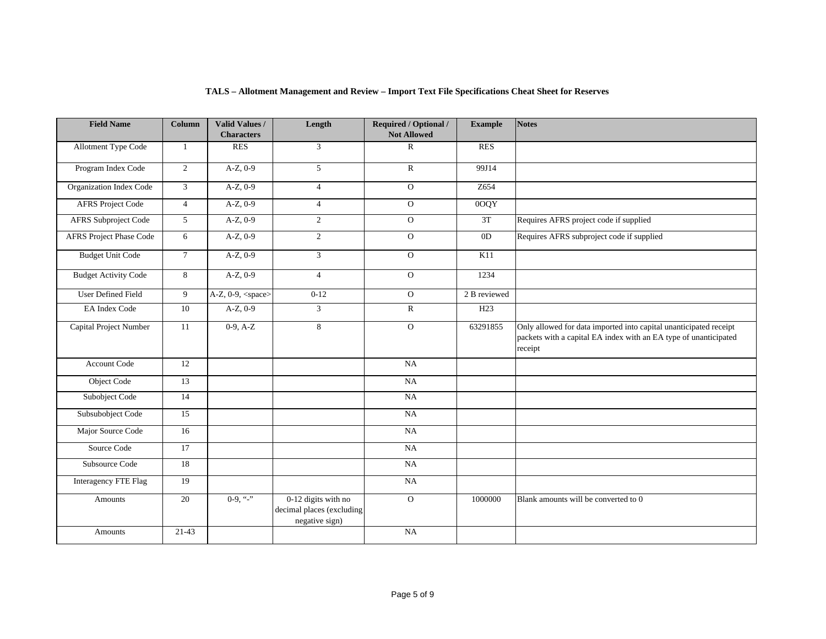| <b>Field Name</b>           | Column          | Valid Values /<br><b>Characters</b> | Length                                                             | Required / Optional /<br><b>Not Allowed</b> | <b>Example</b> | <b>Notes</b>                                                                                                                                     |
|-----------------------------|-----------------|-------------------------------------|--------------------------------------------------------------------|---------------------------------------------|----------------|--------------------------------------------------------------------------------------------------------------------------------------------------|
| Allotment Type Code         | 1               | <b>RES</b>                          | $\overline{3}$                                                     | $\mathbb{R}$                                | <b>RES</b>     |                                                                                                                                                  |
| Program Index Code          | $\overline{2}$  | $A-Z$ , 0-9                         | 5                                                                  | ${\bf R}$                                   | 99J14          |                                                                                                                                                  |
| Organization Index Code     | $\mathfrak{Z}$  | $A-Z$ , 0-9                         | $\overline{4}$                                                     | $\overline{O}$                              | Z654           |                                                                                                                                                  |
| <b>AFRS</b> Project Code    | $\overline{4}$  | $A-Z$ , 0-9                         | $\overline{4}$                                                     | $\overline{O}$                              | 00QY           |                                                                                                                                                  |
| AFRS Subproject Code        | 5 <sup>5</sup>  | $A-Z$ , 0-9                         | $\overline{2}$                                                     | $\mathbf{O}$                                | 3T             | Requires AFRS project code if supplied                                                                                                           |
| AFRS Project Phase Code     | 6               | $A-Z$ , 0-9                         | $\overline{2}$                                                     | $\overline{O}$                              | 0 <sub>D</sub> | Requires AFRS subproject code if supplied                                                                                                        |
| <b>Budget Unit Code</b>     | $7\overline{ }$ | $A-Z$ , 0-9                         | 3                                                                  | $\mathbf 0$                                 | K11            |                                                                                                                                                  |
| <b>Budget Activity Code</b> | 8               | $A-Z$ , 0-9                         | $\overline{4}$                                                     | $\overline{O}$                              | 1234           |                                                                                                                                                  |
| <b>User Defined Field</b>   | 9               | $A-Z$ , 0-9, <space></space>        | $0 - 12$                                                           | $\mathbf{O}$                                | 2 B reviewed   |                                                                                                                                                  |
| <b>EA</b> Index Code        | 10              | $A-Z$ , 0-9                         | $\overline{3}$                                                     | $\mathbb{R}$                                | H23            |                                                                                                                                                  |
| Capital Project Number      | 11              | $0-9, A-Z$                          | 8                                                                  | $\overline{O}$                              | 63291855       | Only allowed for data imported into capital unanticipated receipt<br>packets with a capital EA index with an EA type of unanticipated<br>receipt |
| Account Code                | 12              |                                     |                                                                    | $_{\rm NA}$                                 |                |                                                                                                                                                  |
| Object Code                 | 13              |                                     |                                                                    | NA                                          |                |                                                                                                                                                  |
| Subobject Code              | 14              |                                     |                                                                    | $_{\rm NA}$                                 |                |                                                                                                                                                  |
| Subsubobject Code           | 15              |                                     |                                                                    | NA                                          |                |                                                                                                                                                  |
| Major Source Code           | 16              |                                     |                                                                    | NA                                          |                |                                                                                                                                                  |
| Source Code                 | 17              |                                     |                                                                    | $_{\rm NA}$                                 |                |                                                                                                                                                  |
| Subsource Code              | 18              |                                     |                                                                    | $_{\rm NA}$                                 |                |                                                                                                                                                  |
| <b>Interagency FTE Flag</b> | 19              |                                     |                                                                    | $_{\rm NA}$                                 |                |                                                                                                                                                  |
| Amounts                     | 20              | $0-9,$ "-"                          | 0-12 digits with no<br>decimal places (excluding<br>negative sign) | $\overline{O}$                              | 1000000        | Blank amounts will be converted to 0                                                                                                             |
| Amounts                     | $21-43$         |                                     |                                                                    | NA                                          |                |                                                                                                                                                  |

# **TALS – Allotment Management and Review – Import Text File Specifications Cheat Sheet for Reserves**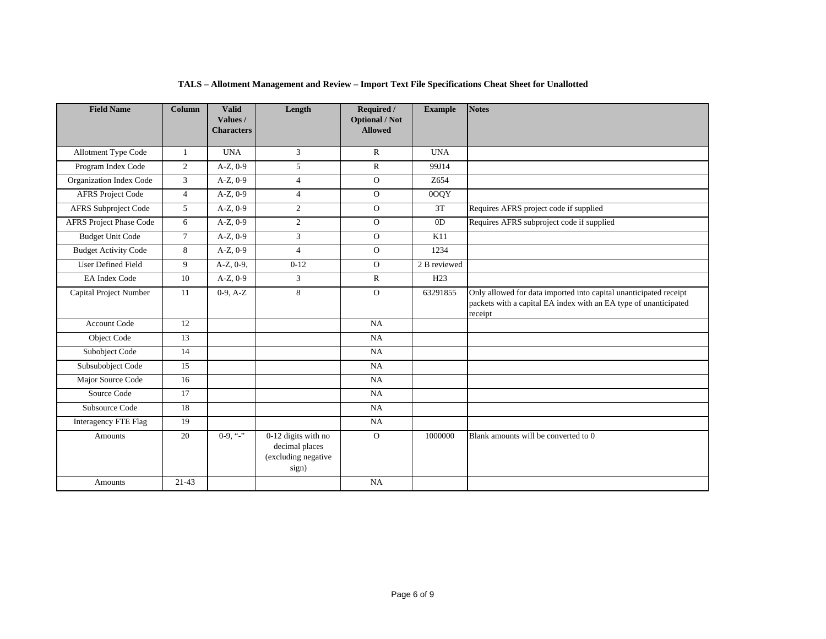| <b>Field Name</b>              | <b>Column</b>  | <b>Valid</b><br>Values /<br><b>Characters</b> | Length                                                                | Required /<br><b>Optional / Not</b><br><b>Allowed</b> | <b>Example</b> | <b>Notes</b>                                                                                                                                     |
|--------------------------------|----------------|-----------------------------------------------|-----------------------------------------------------------------------|-------------------------------------------------------|----------------|--------------------------------------------------------------------------------------------------------------------------------------------------|
| <b>Allotment Type Code</b>     | -1             | <b>UNA</b>                                    | $\overline{3}$                                                        | $\mathbb{R}$                                          | <b>UNA</b>     |                                                                                                                                                  |
| Program Index Code             | 2              | $A-Z, 0-9$                                    | 5                                                                     | $\mathbb{R}$                                          | 99J14          |                                                                                                                                                  |
| Organization Index Code        | 3              | $A-Z, 0-9$                                    | $\overline{4}$                                                        | $\Omega$                                              | Z654           |                                                                                                                                                  |
| <b>AFRS</b> Project Code       | $\overline{4}$ | $A-Z$ , $0-9$                                 | $\overline{4}$                                                        | $\Omega$                                              | 0OQY           |                                                                                                                                                  |
| <b>AFRS</b> Subproject Code    | 5              | $A-Z$ , $0-9$                                 | 2                                                                     | $\overline{O}$                                        | 3T             | Requires AFRS project code if supplied                                                                                                           |
| <b>AFRS Project Phase Code</b> | 6              | $A-Z, 0-9$                                    | 2                                                                     | $\mathbf{O}$                                          | 0 <sub>D</sub> | Requires AFRS subproject code if supplied                                                                                                        |
| <b>Budget Unit Code</b>        | $\overline{7}$ | $A-Z, 0-9$                                    | 3                                                                     | $\mathbf{O}$                                          | K11            |                                                                                                                                                  |
| <b>Budget Activity Code</b>    | 8              | $A-Z, 0-9$                                    | $\overline{4}$                                                        | $\overline{O}$                                        | 1234           |                                                                                                                                                  |
| <b>User Defined Field</b>      | 9              | $A-Z$ , $0-9$ ,                               | $0-12$                                                                | $\Omega$                                              | 2 B reviewed   |                                                                                                                                                  |
| <b>EA Index Code</b>           | 10             | $A-Z$ , 0-9                                   | 3                                                                     | $\mathbb{R}$                                          | H23            |                                                                                                                                                  |
| Capital Project Number         | 11             | $0-9, A-Z$                                    | 8                                                                     | $\Omega$                                              | 63291855       | Only allowed for data imported into capital unanticipated receipt<br>packets with a capital EA index with an EA type of unanticipated<br>receipt |
| <b>Account Code</b>            | 12             |                                               |                                                                       | NA                                                    |                |                                                                                                                                                  |
| Object Code                    | 13             |                                               |                                                                       | NA                                                    |                |                                                                                                                                                  |
| Subobject Code                 | 14             |                                               |                                                                       | NA                                                    |                |                                                                                                                                                  |
| Subsubobject Code              | 15             |                                               |                                                                       | NA                                                    |                |                                                                                                                                                  |
| Major Source Code              | 16             |                                               |                                                                       | NA                                                    |                |                                                                                                                                                  |
| Source Code                    | 17             |                                               |                                                                       | NA                                                    |                |                                                                                                                                                  |
| Subsource Code                 | 18             |                                               |                                                                       | NA                                                    |                |                                                                                                                                                  |
| Interagency FTE Flag           | 19             |                                               |                                                                       | NA                                                    |                |                                                                                                                                                  |
| Amounts                        | 20             | $0-9, "-"$                                    | 0-12 digits with no<br>decimal places<br>(excluding negative<br>sign) | $\Omega$                                              | 1000000        | Blank amounts will be converted to 0                                                                                                             |
| Amounts                        | $21-43$        |                                               |                                                                       | NA                                                    |                |                                                                                                                                                  |

# **TALS – Allotment Management and Review – Import Text File Specifications Cheat Sheet for Unallotted**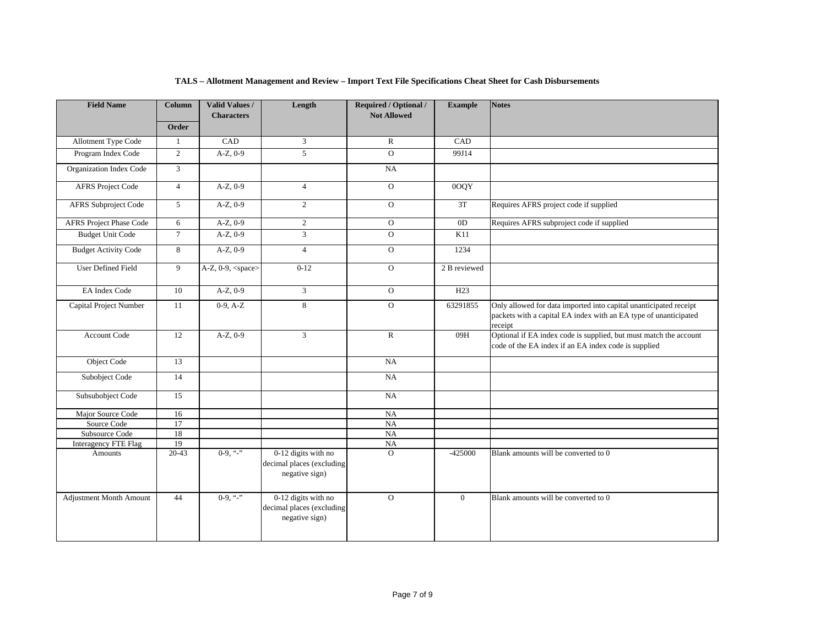| <b>Field Name</b>           | Column         | Valid Values /<br><b>Characters</b> | Length                                                             | Required / Optional /<br><b>Not Allowed</b> | <b>Example</b>  | <b>Notes</b>                                                                                                                                     |
|-----------------------------|----------------|-------------------------------------|--------------------------------------------------------------------|---------------------------------------------|-----------------|--------------------------------------------------------------------------------------------------------------------------------------------------|
|                             | Order          |                                     |                                                                    |                                             |                 |                                                                                                                                                  |
| <b>Allotment Type Code</b>  | 1              | CAD                                 | 3                                                                  | $\mathbf R$                                 | CAD             |                                                                                                                                                  |
| Program Index Code          | 2              | $A-Z$ , $0-9$                       | $\overline{5}$                                                     | $\Omega$                                    | 99J14           |                                                                                                                                                  |
| Organization Index Code     | $\mathbf{3}$   |                                     |                                                                    | NA                                          |                 |                                                                                                                                                  |
| <b>AFRS Project Code</b>    | $\overline{4}$ | $A-Z, 0-9$                          | $\overline{4}$                                                     | $\overline{O}$                              | 0OQY            |                                                                                                                                                  |
| AFRS Subproject Code        | 5              | $A-Z$ , $0-9$                       | $\overline{2}$                                                     | $\Omega$                                    | 3T              | Requires AFRS project code if supplied                                                                                                           |
| AFRS Project Phase Code     | 6              | $A-Z$ , $0-9$                       | $\overline{2}$                                                     | $\overline{O}$                              | 0 <sub>D</sub>  | Requires AFRS subproject code if supplied                                                                                                        |
| <b>Budget Unit Code</b>     | $\tau$         | $A-Z, 0-9$                          | $\mathfrak{Z}$                                                     | $\Omega$                                    | K11             |                                                                                                                                                  |
| <b>Budget Activity Code</b> | 8              | $A-Z$ , 0-9                         | $\overline{4}$                                                     | $\overline{0}$                              | 1234            |                                                                                                                                                  |
| <b>User Defined Field</b>   | 9              | A-Z, $0-9$ , <space></space>        | $0 - 12$                                                           | $\overline{O}$                              | 2 B reviewed    |                                                                                                                                                  |
| EA Index Code               | 10             | $A-Z$ , $0-9$                       | 3                                                                  | $\mathbf{O}$                                | H <sub>23</sub> |                                                                                                                                                  |
| Capital Project Number      | 11             | $0-9, A-Z$                          | 8                                                                  | $\Omega$                                    | 63291855        | Only allowed for data imported into capital unanticipated receipt<br>packets with a capital EA index with an EA type of unanticipated<br>receipt |
| Account Code                | 12             | $A-Z, 0-9$                          | $\mathfrak{Z}$                                                     | $\mathbf R$                                 | 09H             | Optional if EA index code is supplied, but must match the account<br>code of the EA index if an EA index code is supplied                        |
| Object Code                 | 13             |                                     |                                                                    | NA                                          |                 |                                                                                                                                                  |
| Subobject Code              | 14             |                                     |                                                                    | NA                                          |                 |                                                                                                                                                  |
| Subsubobject Code           | 15             |                                     |                                                                    | NA                                          |                 |                                                                                                                                                  |
| Major Source Code           | 16             |                                     |                                                                    | NA                                          |                 |                                                                                                                                                  |
| Source Code                 | 17             |                                     |                                                                    | NA                                          |                 |                                                                                                                                                  |
| Subsource Code              | 18             |                                     |                                                                    | NA                                          |                 |                                                                                                                                                  |
| <b>Interagency FTE Flag</b> | 19             |                                     |                                                                    | $_{\rm NA}$                                 |                 |                                                                                                                                                  |
| <b>Amounts</b>              | $20 - 43$      | $0-9,$ "-"                          | 0-12 digits with no<br>decimal places (excluding<br>negative sign) | $\Omega$                                    | $-425000$       | Blank amounts will be converted to 0                                                                                                             |
| Adjustment Month Amount     | 44             | $0-9,$ "-"                          | 0-12 digits with no<br>decimal places (excluding<br>negative sign) | $\mathbf{O}$                                | $\overline{0}$  | Blank amounts will be converted to 0                                                                                                             |

#### **TALS – Allotment Management and Review – Import Text File Specifications Cheat Sheet for Cash Disbursements**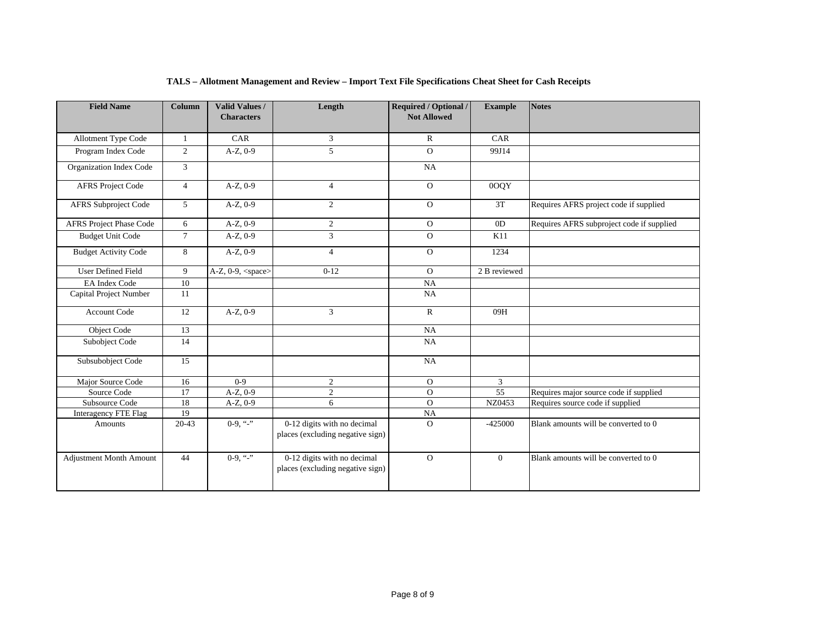| <b>Field Name</b>              | <b>Column</b>  | <b>Valid Values /</b><br><b>Characters</b> | Length                                                          | <b>Required / Optional /</b><br><b>Not Allowed</b> | <b>Example</b>  | <b>Notes</b>                              |
|--------------------------------|----------------|--------------------------------------------|-----------------------------------------------------------------|----------------------------------------------------|-----------------|-------------------------------------------|
| Allotment Type Code            | $\mathbf{1}$   | CAR                                        | 3                                                               | $\mathbb{R}$                                       | CAR             |                                           |
| Program Index Code             | $\overline{2}$ | $A-Z$ , $0-9$                              | 5                                                               | $\Omega$                                           | 99J14           |                                           |
| Organization Index Code        | 3              |                                            |                                                                 | NA                                                 |                 |                                           |
| <b>AFRS Project Code</b>       | $\overline{4}$ | $A-Z$ , $0-9$                              | $\overline{4}$                                                  | $\Omega$                                           | 0OQY            |                                           |
| <b>AFRS Subproject Code</b>    | 5              | $A-Z, 0-9$                                 | $\mathbf{2}$                                                    | $\mathbf{O}$                                       | 3T              | Requires AFRS project code if supplied    |
| <b>AFRS Project Phase Code</b> | 6              | $A-Z$ , $0-9$                              | $\overline{2}$                                                  | $\Omega$                                           | 0 <sub>D</sub>  | Requires AFRS subproject code if supplied |
| <b>Budget Unit Code</b>        | $\tau$         | $A-Z$ , $0-9$                              | $\overline{3}$                                                  | $\Omega$                                           | K11             |                                           |
| <b>Budget Activity Code</b>    | 8              | $A-Z, 0-9$                                 | $\overline{4}$                                                  | $\mathbf{O}$                                       | 1234            |                                           |
| <b>User Defined Field</b>      | 9              | A-Z, 0-9, <space></space>                  | $0 - 12$                                                        | $\Omega$                                           | 2 B reviewed    |                                           |
| <b>EA</b> Index Code           | 10             |                                            |                                                                 | NA                                                 |                 |                                           |
| Capital Project Number         | 11             |                                            |                                                                 | NA                                                 |                 |                                           |
| Account Code                   | 12             | $A-Z, 0-9$                                 | $\overline{3}$                                                  | $\mathbb{R}$                                       | 09H             |                                           |
| Object Code                    | 13             |                                            |                                                                 | NA                                                 |                 |                                           |
| Subobject Code                 | 14             |                                            |                                                                 | NA                                                 |                 |                                           |
| Subsubobject Code              | 15             |                                            |                                                                 | NA                                                 |                 |                                           |
| Major Source Code              | 16             | $0 - 9$                                    | $\overline{2}$                                                  | $\Omega$                                           | 3               |                                           |
| Source Code                    | 17             | $A-Z$ , $0-9$                              | $\overline{2}$                                                  | $\overline{O}$                                     | $\overline{55}$ | Requires major source code if supplied    |
| Subsource Code                 | 18             | $A-Z$ , $0-9$                              | 6                                                               | $\Omega$                                           | NZ0453          | Requires source code if supplied          |
| Interagency FTE Flag           | 19             |                                            |                                                                 | NA                                                 |                 |                                           |
| Amounts                        | $20-43$        | $0-9.$ "-"                                 | 0-12 digits with no decimal<br>places (excluding negative sign) | $\Omega$                                           | $-425000$       | Blank amounts will be converted to 0      |
| <b>Adjustment Month Amount</b> | 44             | $0-9,$ "-"                                 | 0-12 digits with no decimal<br>places (excluding negative sign) | $\Omega$                                           | $\mathbf{0}$    | Blank amounts will be converted to 0      |

# **TALS – Allotment Management and Review – Import Text File Specifications Cheat Sheet for Cash Receipts**